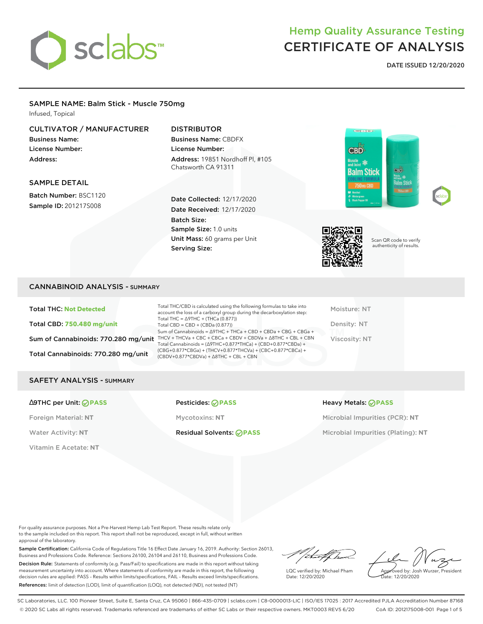

**DATE ISSUED 12/20/2020**

#### SAMPLE NAME: Balm Stick - Muscle 750mg Infused, Topical

### CULTIVATOR / MANUFACTURER

Business Name: License Number: Address:

## DISTRIBUTOR

Business Name: CBDFX License Number: Address: 19851 Nordhoff Pl, #105 Chatsworth CA 91311

#### SAMPLE DETAIL

Batch Number: BSC1120 Sample ID: 201217S008

Date Collected: 12/17/2020 Date Received: 12/17/2020 Batch Size: Sample Size: 1.0 units Unit Mass: 60 grams per Unit Serving Size:







Scan QR code to verify authenticity of results.

### CANNABINOID ANALYSIS - SUMMARY

Total THC: **Not Detected** Total CBD: **750.480 mg/unit** Total Cannabinoids: 770.280 mg/unit

Sum of Cannabinoids: 770.280 mg/unit THCV + THCVa + CBC + CBCa + CBDV + CBDVa +  $\triangle$ 8THC + CBL + CBN Total THC/CBD is calculated using the following formulas to take into account the loss of a carboxyl group during the decarboxylation step: Total THC = ∆9THC + (THCa (0.877)) Total CBD = CBD + (CBDa (0.877)) Sum of Cannabinoids = ∆9THC + THCa + CBD + CBDa + CBG + CBGa + Total Cannabinoids = (∆9THC+0.877\*THCa) + (CBD+0.877\*CBDa) + (CBG+0.877\*CBGa) + (THCV+0.877\*THCVa) + (CBC+0.877\*CBCa) + (CBDV+0.877\*CBDVa) + ∆8THC + CBL + CBN

Moisture: NT Density: NT Viscosity: NT

#### SAFETY ANALYSIS - SUMMARY

#### ∆9THC per Unit: **PASS** Pesticides: **PASS** Heavy Metals: **PASS**

Vitamin E Acetate: **NT**

Water Activity: NT **Residual Solvents:** *PASS* Microbial Impurities (Plating): NT

Foreign Material: **NT** Mycotoxins: **NT** Microbial Impurities (PCR): **NT**

For quality assurance purposes. Not a Pre-Harvest Hemp Lab Test Report. These results relate only to the sample included on this report. This report shall not be reproduced, except in full, without written approval of the laboratory.

Sample Certification: California Code of Regulations Title 16 Effect Date January 16, 2019. Authority: Section 26013, Business and Professions Code. Reference: Sections 26100, 26104 and 26110, Business and Professions Code. Decision Rule: Statements of conformity (e.g. Pass/Fail) to specifications are made in this report without taking measurement uncertainty into account. Where statements of conformity are made in this report, the following decision rules are applied: PASS – Results within limits/specifications, FAIL – Results exceed limits/specifications. References: limit of detection (LOD), limit of quantification (LOQ), not detected (ND), not tested (NT)

/itmetf/had

LQC verified by: Michael Pham Date: 12/20/2020

Approved by: Josh Wurzer, President Date: 12/20/2020

SC Laboratories, LLC. 100 Pioneer Street, Suite E, Santa Cruz, CA 95060 | 866-435-0709 | sclabs.com | C8-0000013-LIC | ISO/IES 17025 : 2017 Accredited PJLA Accreditation Number 87168 © 2020 SC Labs all rights reserved. Trademarks referenced are trademarks of either SC Labs or their respective owners. MKT0003 REV5 6/20 CoA ID: 201217S008-001 Page 1 of 5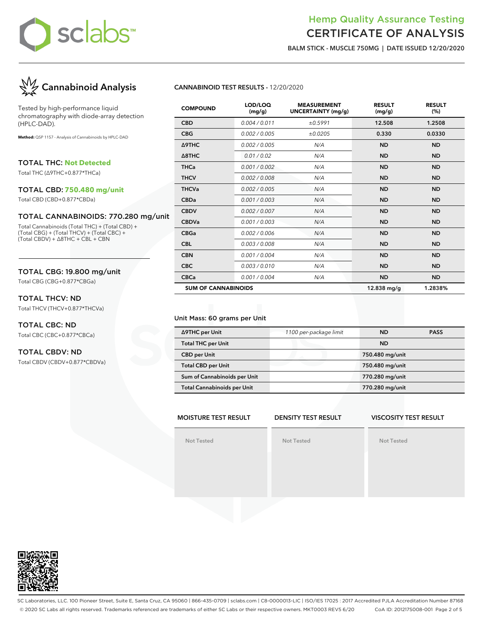

**BALM STICK - MUSCLE 750MG | DATE ISSUED 12/20/2020**



Tested by high-performance liquid chromatography with diode-array detection (HPLC-DAD).

**Method:** QSP 1157 - Analysis of Cannabinoids by HPLC-DAD

TOTAL THC: **Not Detected**

Total THC (∆9THC+0.877\*THCa)

#### TOTAL CBD: **750.480 mg/unit**

Total CBD (CBD+0.877\*CBDa)

#### TOTAL CANNABINOIDS: 770.280 mg/unit

Total Cannabinoids (Total THC) + (Total CBD) + (Total CBG) + (Total THCV) + (Total CBC) + (Total CBDV) + ∆8THC + CBL + CBN

#### TOTAL CBG: 19.800 mg/unit

Total CBG (CBG+0.877\*CBGa)

#### TOTAL THCV: ND

Total THCV (THCV+0.877\*THCVa)

# TOTAL CBC: ND

Total CBC (CBC+0.877\*CBCa)

### TOTAL CBDV: ND

Total CBDV (CBDV+0.877\*CBDVa)

#### **CANNABINOID TEST RESULTS -** 12/20/2020

| <b>COMPOUND</b>            | LOD/LOQ<br>(mg/g) | <b>MEASUREMENT</b><br><b>UNCERTAINTY (mg/g)</b> | <b>RESULT</b><br>(mg/g) | <b>RESULT</b><br>(%) |
|----------------------------|-------------------|-------------------------------------------------|-------------------------|----------------------|
| <b>CBD</b>                 | 0.004 / 0.011     | ±0.5991                                         | 12.508                  | 1.2508               |
| <b>CBG</b>                 | 0.002 / 0.005     | ±0.0205                                         | 0.330                   | 0.0330               |
| Δ9THC                      | 0.002 / 0.005     | N/A                                             | <b>ND</b>               | <b>ND</b>            |
| $\triangle$ 8THC           | 0.01 / 0.02       | N/A                                             | <b>ND</b>               | <b>ND</b>            |
| <b>THCa</b>                | 0.001/0.002       | N/A                                             | <b>ND</b>               | <b>ND</b>            |
| <b>THCV</b>                | 0.002 / 0.008     | N/A                                             | <b>ND</b>               | <b>ND</b>            |
| <b>THCVa</b>               | 0.002 / 0.005     | N/A                                             | <b>ND</b>               | <b>ND</b>            |
| <b>CBDa</b>                | 0.001 / 0.003     | N/A                                             | <b>ND</b>               | <b>ND</b>            |
| <b>CBDV</b>                | 0.002 / 0.007     | N/A                                             | <b>ND</b>               | <b>ND</b>            |
| <b>CBDVa</b>               | 0.001 / 0.003     | N/A                                             | <b>ND</b>               | <b>ND</b>            |
| <b>CBGa</b>                | 0.002/0.006       | N/A                                             | <b>ND</b>               | <b>ND</b>            |
| <b>CBL</b>                 | 0.003 / 0.008     | N/A                                             | <b>ND</b>               | <b>ND</b>            |
| <b>CBN</b>                 | 0.001 / 0.004     | N/A                                             | <b>ND</b>               | <b>ND</b>            |
| <b>CBC</b>                 | 0.003/0.010       | N/A                                             | <b>ND</b>               | <b>ND</b>            |
| <b>CBCa</b>                | 0.001 / 0.004     | N/A                                             | <b>ND</b>               | <b>ND</b>            |
| <b>SUM OF CANNABINOIDS</b> |                   |                                                 | 12.838 mg/g             | 1.2838%              |

#### Unit Mass: 60 grams per Unit

| ∆9THC per Unit                     | 1100 per-package limit | ND.             | <b>PASS</b> |
|------------------------------------|------------------------|-----------------|-------------|
| <b>Total THC per Unit</b>          |                        | <b>ND</b>       |             |
| <b>CBD per Unit</b>                |                        | 750.480 mg/unit |             |
| <b>Total CBD per Unit</b>          |                        | 750.480 mg/unit |             |
| Sum of Cannabinoids per Unit       |                        | 770.280 mg/unit |             |
| <b>Total Cannabinoids per Unit</b> |                        | 770.280 mg/unit |             |
|                                    |                        |                 |             |

#### **MOISTURE TEST RESULT DENSITY TEST RESULT**

**Not Tested**

**Not Tested**

#### **VISCOSITY TEST RESULT**

**Not Tested**



SC Laboratories, LLC. 100 Pioneer Street, Suite E, Santa Cruz, CA 95060 | 866-435-0709 | sclabs.com | C8-0000013-LIC | ISO/IES 17025 : 2017 Accredited PJLA Accreditation Number 87168 © 2020 SC Labs all rights reserved. Trademarks referenced are trademarks of either SC Labs or their respective owners. MKT0003 REV5 6/20 CoA ID: 201217S008-001 Page 2 of 5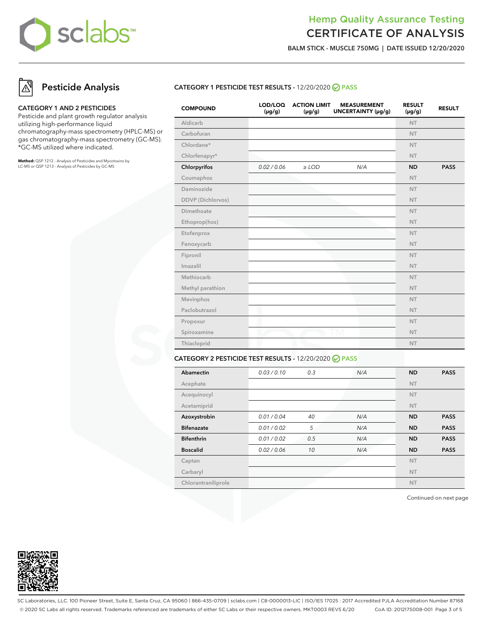

**BALM STICK - MUSCLE 750MG | DATE ISSUED 12/20/2020**

# **Pesticide Analysis**

#### **CATEGORY 1 AND 2 PESTICIDES**

Pesticide and plant growth regulator analysis utilizing high-performance liquid chromatography-mass spectrometry (HPLC-MS) or gas chromatography-mass spectrometry (GC-MS). \*GC-MS utilized where indicated.

**Method:** QSP 1212 - Analysis of Pesticides and Mycotoxins by LC-MS or QSP 1213 - Analysis of Pesticides by GC-MS

### **CATEGORY 1 PESTICIDE TEST RESULTS -** 12/20/2020 **PASS**

| <b>COMPOUND</b>   | LOD/LOQ<br>$(\mu g/g)$ | <b>ACTION LIMIT</b><br>$(\mu g/g)$ | <b>MEASUREMENT</b><br>UNCERTAINTY (µg/g) | <b>RESULT</b><br>$(\mu g/g)$ | <b>RESULT</b> |
|-------------------|------------------------|------------------------------------|------------------------------------------|------------------------------|---------------|
| Aldicarb          |                        |                                    |                                          | <b>NT</b>                    |               |
| Carbofuran        |                        |                                    |                                          | <b>NT</b>                    |               |
| Chlordane*        |                        |                                    |                                          | <b>NT</b>                    |               |
| Chlorfenapyr*     |                        |                                    |                                          | <b>NT</b>                    |               |
| Chlorpyrifos      | 0.02 / 0.06            | $\geq$ LOD                         | N/A                                      | <b>ND</b>                    | <b>PASS</b>   |
| Coumaphos         |                        |                                    |                                          | <b>NT</b>                    |               |
| Daminozide        |                        |                                    |                                          | <b>NT</b>                    |               |
| DDVP (Dichlorvos) |                        |                                    |                                          | <b>NT</b>                    |               |
| Dimethoate        |                        |                                    |                                          | <b>NT</b>                    |               |
| Ethoprop(hos)     |                        |                                    |                                          | <b>NT</b>                    |               |
| Etofenprox        |                        |                                    |                                          | <b>NT</b>                    |               |
| Fenoxycarb        |                        |                                    |                                          | <b>NT</b>                    |               |
| Fipronil          |                        |                                    |                                          | <b>NT</b>                    |               |
| Imazalil          |                        |                                    |                                          | <b>NT</b>                    |               |
| Methiocarb        |                        |                                    |                                          | <b>NT</b>                    |               |
| Methyl parathion  |                        |                                    |                                          | <b>NT</b>                    |               |
| Mevinphos         |                        |                                    |                                          | <b>NT</b>                    |               |
| Paclobutrazol     |                        |                                    |                                          | <b>NT</b>                    |               |
| Propoxur          |                        |                                    |                                          | <b>NT</b>                    |               |
| Spiroxamine       |                        |                                    |                                          | <b>NT</b>                    |               |
| Thiacloprid       |                        |                                    |                                          | <b>NT</b>                    |               |
|                   |                        |                                    |                                          |                              |               |

### **CATEGORY 2 PESTICIDE TEST RESULTS -** 12/20/2020 **PASS**

| Abamectin           | 0.03 / 0.10 | 0.3 | N/A | <b>ND</b> | <b>PASS</b> |
|---------------------|-------------|-----|-----|-----------|-------------|
| Acephate            |             |     |     | <b>NT</b> |             |
| Acequinocyl         |             |     |     | <b>NT</b> |             |
| Acetamiprid         |             |     |     | <b>NT</b> |             |
| Azoxystrobin        | 0.01 / 0.04 | 40  | N/A | <b>ND</b> | <b>PASS</b> |
| <b>Bifenazate</b>   | 0.01 / 0.02 | 5   | N/A | <b>ND</b> | <b>PASS</b> |
| <b>Bifenthrin</b>   | 0.01 / 0.02 | 0.5 | N/A | <b>ND</b> | <b>PASS</b> |
| <b>Boscalid</b>     | 0.02 / 0.06 | 10  | N/A | <b>ND</b> | <b>PASS</b> |
| Captan              |             |     |     | <b>NT</b> |             |
| Carbaryl            |             |     |     | <b>NT</b> |             |
| Chlorantraniliprole |             |     |     | <b>NT</b> |             |

Continued on next page



SC Laboratories, LLC. 100 Pioneer Street, Suite E, Santa Cruz, CA 95060 | 866-435-0709 | sclabs.com | C8-0000013-LIC | ISO/IES 17025 : 2017 Accredited PJLA Accreditation Number 87168 © 2020 SC Labs all rights reserved. Trademarks referenced are trademarks of either SC Labs or their respective owners. MKT0003 REV5 6/20 CoA ID: 201217S008-001 Page 3 of 5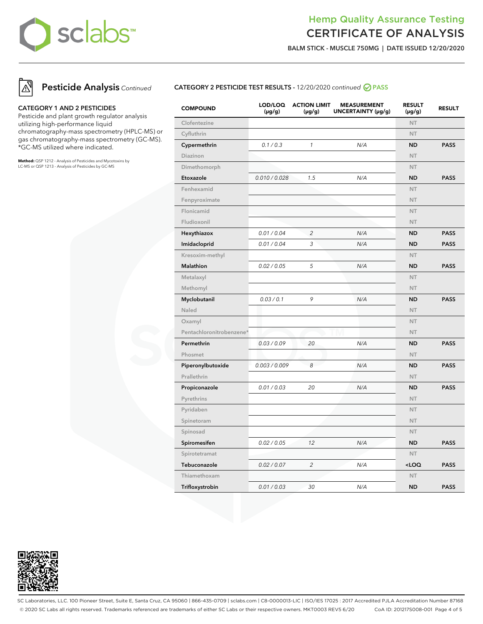

**BALM STICK - MUSCLE 750MG | DATE ISSUED 12/20/2020**



#### **CATEGORY 1 AND 2 PESTICIDES**

Pesticide and plant growth regulator analysis utilizing high-performance liquid chromatography-mass spectrometry (HPLC-MS) or gas chromatography-mass spectrometry (GC-MS). \*GC-MS utilized where indicated.

**Method:** QSP 1212 - Analysis of Pesticides and Mycotoxins by LC-MS or QSP 1213 - Analysis of Pesticides by GC-MS

### **CATEGORY 2 PESTICIDE TEST RESULTS -** 12/20/2020 continued **PASS**

| <b>COMPOUND</b>          | LOD/LOQ<br>(µg/g) | <b>ACTION LIMIT</b><br>$(\mu g/g)$ | <b>MEASUREMENT</b><br>UNCERTAINTY (µg/g) | <b>RESULT</b><br>(µg/g)                 | <b>RESULT</b> |
|--------------------------|-------------------|------------------------------------|------------------------------------------|-----------------------------------------|---------------|
| Clofentezine             |                   |                                    |                                          | <b>NT</b>                               |               |
| Cyfluthrin               |                   |                                    |                                          | <b>NT</b>                               |               |
| Cypermethrin             | 0.1 / 0.3         | $\mathbf{1}$                       | N/A                                      | <b>ND</b>                               | <b>PASS</b>   |
| Diazinon                 |                   |                                    |                                          | <b>NT</b>                               |               |
| Dimethomorph             |                   |                                    |                                          | <b>NT</b>                               |               |
| Etoxazole                | 0.010 / 0.028     | 1.5                                | N/A                                      | <b>ND</b>                               | <b>PASS</b>   |
| Fenhexamid               |                   |                                    |                                          | <b>NT</b>                               |               |
| Fenpyroximate            |                   |                                    |                                          | <b>NT</b>                               |               |
| Flonicamid               |                   |                                    |                                          | <b>NT</b>                               |               |
| Fludioxonil              |                   |                                    |                                          | <b>NT</b>                               |               |
| Hexythiazox              | 0.01 / 0.04       | $\overline{c}$                     | N/A                                      | <b>ND</b>                               | <b>PASS</b>   |
| Imidacloprid             | 0.01 / 0.04       | 3                                  | N/A                                      | <b>ND</b>                               | <b>PASS</b>   |
| Kresoxim-methyl          |                   |                                    |                                          | <b>NT</b>                               |               |
| Malathion                | 0.02 / 0.05       | 5                                  | N/A                                      | <b>ND</b>                               | <b>PASS</b>   |
| Metalaxyl                |                   |                                    |                                          | <b>NT</b>                               |               |
| Methomyl                 |                   |                                    |                                          | <b>NT</b>                               |               |
| Myclobutanil             | 0.03 / 0.1        | 9                                  | N/A                                      | <b>ND</b>                               | <b>PASS</b>   |
| Naled                    |                   |                                    |                                          | <b>NT</b>                               |               |
| Oxamyl                   |                   |                                    |                                          | <b>NT</b>                               |               |
| Pentachloronitrobenzene* |                   |                                    |                                          | <b>NT</b>                               |               |
| Permethrin               | 0.03 / 0.09       | 20                                 | N/A                                      | <b>ND</b>                               | <b>PASS</b>   |
| Phosmet                  |                   |                                    |                                          | <b>NT</b>                               |               |
| Piperonylbutoxide        | 0.003 / 0.009     | 8                                  | N/A                                      | <b>ND</b>                               | <b>PASS</b>   |
| Prallethrin              |                   |                                    |                                          | <b>NT</b>                               |               |
| Propiconazole            | 0.01 / 0.03       | 20                                 | N/A                                      | <b>ND</b>                               | <b>PASS</b>   |
| Pyrethrins               |                   |                                    |                                          | <b>NT</b>                               |               |
| Pyridaben                |                   |                                    |                                          | <b>NT</b>                               |               |
| Spinetoram               |                   |                                    |                                          | <b>NT</b>                               |               |
| Spinosad                 |                   |                                    |                                          | <b>NT</b>                               |               |
| Spiromesifen             | 0.02 / 0.05       | 12                                 | N/A                                      | <b>ND</b>                               | <b>PASS</b>   |
| Spirotetramat            |                   |                                    |                                          | <b>NT</b>                               |               |
| Tebuconazole             | 0.02 / 0.07       | $\overline{c}$                     | N/A                                      | <loq< td=""><td><b>PASS</b></td></loq<> | <b>PASS</b>   |
| Thiamethoxam             |                   |                                    |                                          | <b>NT</b>                               |               |
| Trifloxystrobin          | 0.01 / 0.03       | 30                                 | N/A                                      | <b>ND</b>                               | <b>PASS</b>   |



SC Laboratories, LLC. 100 Pioneer Street, Suite E, Santa Cruz, CA 95060 | 866-435-0709 | sclabs.com | C8-0000013-LIC | ISO/IES 17025 : 2017 Accredited PJLA Accreditation Number 87168 © 2020 SC Labs all rights reserved. Trademarks referenced are trademarks of either SC Labs or their respective owners. MKT0003 REV5 6/20 CoA ID: 201217S008-001 Page 4 of 5